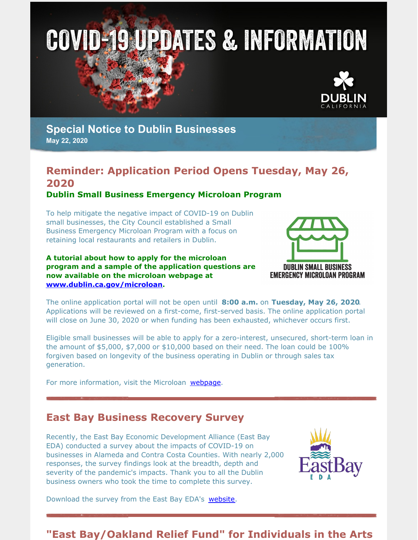



### **Special Notice to Dublin Businesses May 22, 2020**

# **Reminder: Application Period Opens Tuesday, May 26, 2020**

#### **Dublin Small Business Emergency Microloan Program**

To help mitigate the negative impact of COVID-19 on Dublin small businesses, the City Council established a Small Business Emergency Microloan Program with a focus on retaining local restaurants and retailers in Dublin.

**A tutorial about how to apply for the microloan program and a sample of the application questions are now available on the microloan webpage at [www.dublin.ca.gov/microloan](http://www.dublin.ca.gov/microloan).**



The online application portal will not be open until **8:00 a.m.** on **Tuesday, May 26, 2020**. Applications will be reviewed on a first-come, first-served basis. The online application portal will close on June 30, 2020 or when funding has been exhausted, whichever occurs first.

Eligible small businesses will be able to apply for a zero-interest, unsecured, short-term loan in the amount of  $$5,000$ ,  $$7,000$  or  $$10,000$  based on their need. The loan could be  $100\%$ forgiven based on longevity of the business operating in Dublin or through sales tax generation.

For more information, visit the Microloan [webpage](https://dublin.ca.gov/microloan).

#### **East Bay Business Recovery Survey**

Recently, the East Bay Economic Development Alliance (East Bay EDA) conducted a survey about the impacts of COVID-19 on businesses in Alameda and Contra Costa Counties. With nearly 2,000 responses, the survey findings look at the breadth, depth and severity of the pandemic's impacts. Thank you to all the Dublin business owners who took the time to complete this survey.



Download the survey from the East Bay EDA's [website](https://eastbayeda.org/east-bay-business-recovery-survey/).

### **"East Bay/Oakland Relief Fund" for Individuals in the Arts**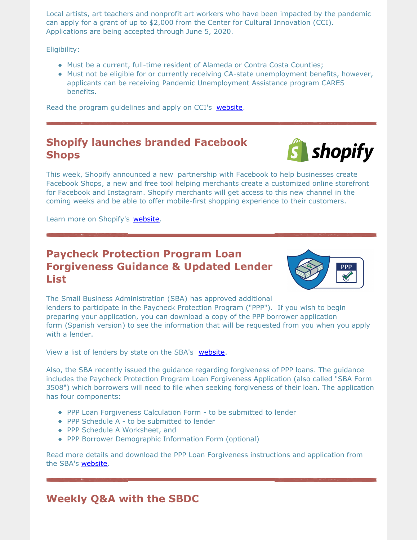Local artists, art teachers and nonprofit art workers who have been impacted by the pandemic can apply for a grant of up to \$2,000 from the Center for Cultural Innovation (CCI). Applications are being accepted through June 5, 2020.

Eligibility:

- Must be a current, full-time resident of Alameda or Contra Costa Counties;
- Must not be eligible for or currently receiving CA-state unemployment benefits, however, applicants can be receiving Pandemic Unemployment Assistance program CARES benefits.

Read the program guidelines and apply on CCI's [website](https://www.cciarts.org/EastBayOaklandRelief.htm).

#### **Shopify launches branded Facebook Shops**



This week, Shopify announced a new partnership with Facebook to help businesses create Facebook Shops, a new and free tool helping merchants create a customized online storefront for Facebook and Instagram. Shopify merchants will get access to this new channel in the coming weeks and be able to offer mobile-first shopping experience to their customers.

Learn more on Shopify's [website](https://www.shopify.com/blog/facebook-shops).

#### **Paycheck Protection Program Loan Forgiveness Guidance & Updated Lender List**



The Small Business Administration (SBA) has approved additional lenders to participate in the Paycheck Protection Program ("PPP"). If you wish to begin preparing your application, you can download a copy of the PPP borrower application form (Spanish version) to see the information that will be requested from you when you apply with a lender.

View a list of lenders by state on the SBA's [website](https://www.sba.gov/document/support--paycheck-protection-program-participating-lenders).

Also, the SBA recently issued the guidance regarding forgiveness of PPP loans. The guidance includes the Paycheck Protection Program Loan Forgiveness Application (also called "SBA Form 3508") which borrowers will need to file when seeking forgiveness of their loan. The application has four components:

- PPP Loan Forgiveness Calculation Form to be submitted to lender
- PPP Schedule A to be submitted to lender
- PPP Schedule A Worksheet, and
- PPP Borrower Demographic Information Form (optional)

Read more details and download the PPP Loan Forgiveness instructions and application from the SBA's [website](https://www.sba.gov/funding-programs/loans/coronavirus-relief-options/paycheck-protection-program#section-header-8).

## **Weekly Q&A with the SBDC**